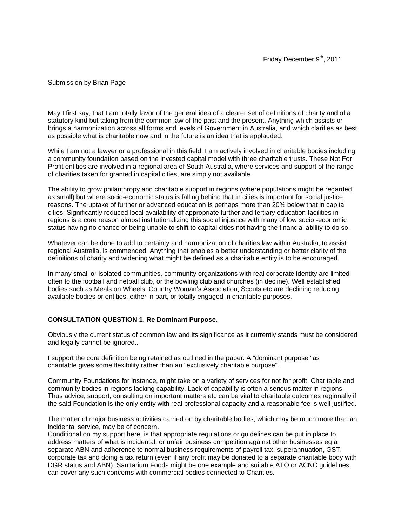### Submission by Brian Page

May I first say, that I am totally favor of the general idea of a clearer set of definitions of charity and of a statutory kind but taking from the common law of the past and the present. Anything which assists or brings a harmonization across all forms and levels of Government in Australia, and which clarifies as best as possible what is charitable now and in the future is an idea that is applauded.

While I am not a lawyer or a professional in this field, I am actively involved in charitable bodies including a community foundation based on the invested capital model with three charitable trusts. These Not For Profit entities are involved in a regional area of South Australia, where services and support of the range of charities taken for granted in capital cities, are simply not available.

The ability to grow philanthropy and charitable support in regions (where populations might be regarded as small) but where socio-economic status is falling behind that in cities is important for social justice reasons. The uptake of further or advanced education is perhaps more than 20% below that in capital cities. Significantly reduced local availability of appropriate further and tertiary education facilities in regions is a core reason almost institutionalizing this social injustice with many of low socio -economic status having no chance or being unable to shift to capital cities not having the financial ability to do so.

Whatever can be done to add to certainty and harmonization of charities law within Australia, to assist regional Australia, is commended. Anything that enables a better understanding or better clarity of the definitions of charity and widening what might be defined as a charitable entity is to be encouraged.

In many small or isolated communities, community organizations with real corporate identity are limited often to the football and netball club, or the bowling club and churches (in decline). Well established bodies such as Meals on Wheels, Country Woman's Association, Scouts etc are declining reducing available bodies or entities, either in part, or totally engaged in charitable purposes.

### **CONSULTATION QUESTION 1**. **Re Dominant Purpose.**

Obviously the current status of common law and its significance as it currently stands must be considered and legally cannot be ignored..

I support the core definition being retained as outlined in the paper. A "dominant purpose" as charitable gives some flexibility rather than an "exclusively charitable purpose".

Community Foundations for instance, might take on a variety of services for not for profit, Charitable and community bodies in regions lacking capability. Lack of capability is often a serious matter in regions. Thus advice, support, consulting on important matters etc can be vital to charitable outcomes regionally if the said Foundation is the only entity with real professional capacity and a reasonable fee is well justified.

The matter of major business activities carried on by charitable bodies, which may be much more than an incidental service, may be of concern.

Conditional on my support here, is that appropriate regulations or guidelines can be put in place to address matters of what is incidental, or unfair business competition against other businesses eg a separate ABN and adherence to normal business requirements of payroll tax, superannuation, GST, corporate tax and doing a tax return (even if any profit may be donated to a separate charitable body with DGR status and ABN). Sanitarium Foods might be one example and suitable ATO or ACNC guidelines can cover any such concerns with commercial bodies connected to Charities.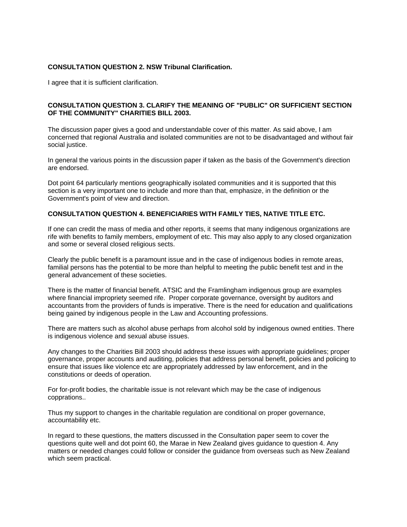### **CONSULTATION QUESTION 2. NSW Tribunal Clarification.**

I agree that it is sufficient clarification.

### **CONSULTATION QUESTION 3. CLARIFY THE MEANING OF "PUBLIC" OR SUFFICIENT SECTION OF THE COMMUNITY" CHARITIES BILL 2003.**

The discussion paper gives a good and understandable cover of this matter. As said above, I am concerned that regional Australia and isolated communities are not to be disadvantaged and without fair social justice.

In general the various points in the discussion paper if taken as the basis of the Government's direction are endorsed.

Dot point 64 particularly mentions geographically isolated communities and it is supported that this section is a very important one to include and more than that, emphasize, in the definition or the Government's point of view and direction.

#### **CONSULTATION QUESTION 4. BENEFICIARIES WITH FAMILY TIES, NATIVE TITLE ETC.**

If one can credit the mass of media and other reports, it seems that many indigenous organizations are rife with benefits to family members, employment of etc. This may also apply to any closed organization and some or several closed religious sects.

Clearly the public benefit is a paramount issue and in the case of indigenous bodies in remote areas, familial persons has the potential to be more than helpful to meeting the public benefit test and in the general advancement of these societies.

There is the matter of financial benefit. ATSIC and the Framlingham indigenous group are examples where financial impropriety seemed rife. Proper corporate governance, oversight by auditors and accountants from the providers of funds is imperative. There is the need for education and qualifications being gained by indigenous people in the Law and Accounting professions.

There are matters such as alcohol abuse perhaps from alcohol sold by indigenous owned entities. There is indigenous violence and sexual abuse issues.

Any changes to the Charities Bill 2003 should address these issues with appropriate guidelines; proper governance, proper accounts and auditing, policies that address personal benefit, policies and policing to ensure that issues like violence etc are appropriately addressed by law enforcement, and in the constitutions or deeds of operation.

For for-profit bodies, the charitable issue is not relevant which may be the case of indigenous copprations..

Thus my support to changes in the charitable regulation are conditional on proper governance, accountability etc.

In regard to these questions, the matters discussed in the Consultation paper seem to cover the questions quite well and dot point 60, the Marae in New Zealand gives guidance to question 4. Any matters or needed changes could follow or consider the guidance from overseas such as New Zealand which seem practical.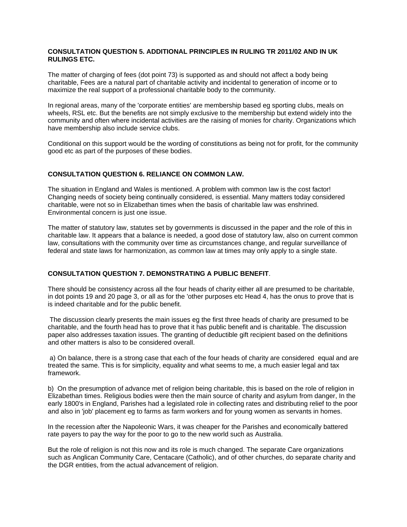## **CONSULTATION QUESTION 5. ADDITIONAL PRINCIPLES IN RULING TR 2011/02 AND IN UK RULINGS ETC.**

The matter of charging of fees (dot point 73) is supported as and should not affect a body being charitable, Fees are a natural part of charitable activity and incidental to generation of income or to maximize the real support of a professional charitable body to the community.

In regional areas, many of the 'corporate entities' are membership based eg sporting clubs, meals on wheels, RSL etc. But the benefits are not simply exclusive to the membership but extend widely into the community and often where incidental activities are the raising of monies for charity. Organizations which have membership also include service clubs.

Conditional on this support would be the wording of constitutions as being not for profit, for the community good etc as part of the purposes of these bodies.

## **CONSULTATION QUESTION 6. RELIANCE ON COMMON LAW.**

The situation in England and Wales is mentioned. A problem with common law is the cost factor! Changing needs of society being continually considered, is essential. Many matters today considered charitable, were not so in Elizabethan times when the basis of charitable law was enshrined. Environmental concern is just one issue.

The matter of statutory law, statutes set by governments is discussed in the paper and the role of this in charitable law. It appears that a balance is needed, a good dose of statutory law, also on current common law, consultations with the community over time as circumstances change, and regular surveillance of federal and state laws for harmonization, as common law at times may only apply to a single state.

### **CONSULTATION QUESTION 7. DEMONSTRATING A PUBLIC BENEFIT**.

There should be consistency across all the four heads of charity either all are presumed to be charitable, in dot points 19 and 20 page 3, or all as for the 'other purposes etc Head 4, has the onus to prove that is is indeed charitable and for the public benefit.

The discussion clearly presents the main issues eg the first three heads of charity are presumed to be charitable, and the fourth head has to prove that it has public benefit and is charitable. The discussion paper also addresses taxation issues. The granting of deductible gift recipient based on the definitions and other matters is also to be considered overall.

a) On balance, there is a strong case that each of the four heads of charity are considered equal and are treated the same. This is for simplicity, equality and what seems to me, a much easier legal and tax framework.

b) On the presumption of advance met of religion being charitable, this is based on the role of religion in Elizabethan times. Religious bodies were then the main source of charity and asylum from danger, In the early 1800's in England, Parishes had a legislated role in collecting rates and distributing relief to the poor and also in 'job' placement eg to farms as farm workers and for young women as servants in homes.

In the recession after the Napoleonic Wars, it was cheaper for the Parishes and economically battered rate payers to pay the way for the poor to go to the new world such as Australia.

But the role of religion is not this now and its role is much changed. The separate Care organizations such as Anglican Community Care, Centacare (Catholic), and of other churches, do separate charity and the DGR entities, from the actual advancement of religion.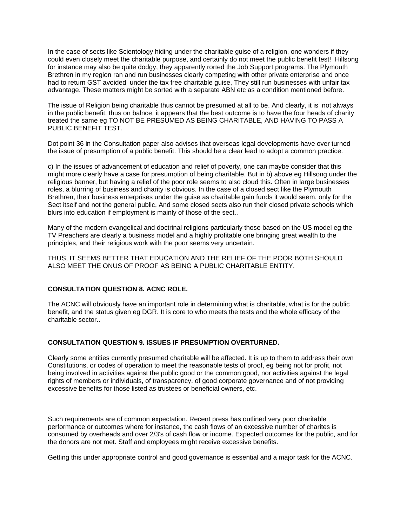In the case of sects like Scientology hiding under the charitable guise of a religion, one wonders if they could even closely meet the charitable purpose, and certainly do not meet the public benefit test! Hillsong for instance may also be quite dodgy, they apparently rorted the Job Support programs. The Plymouth Brethren in my region ran and run businesses clearly competing with other private enterprise and once had to return GST avoided under the tax free charitable guise, They still run businesses with unfair tax advantage. These matters might be sorted with a separate ABN etc as a condition mentioned before.

The issue of Religion being charitable thus cannot be presumed at all to be. And clearly, it is not always in the public benefit, thus on balnce, it appears that the best outcome is to have the four heads of charity treated the same eg TO NOT BE PRESUMED AS BEING CHARITABLE, AND HAVING TO PASS A PUBLIC BENEFIT TEST.

Dot point 36 in the Consultation paper also advises that overseas legal developments have over turned the issue of presumption of a public benefit. This should be a clear lead to adopt a common practice.

c) In the issues of advancement of education and relief of poverty, one can maybe consider that this might more clearly have a case for presumption of being charitable. But in b) above eg Hillsong under the religious banner, but having a relief of the poor role seems to also cloud this. Often in large businesses roles, a blurring of business and charity is obvious. In the case of a closed sect like the Plymouth Brethren, their business enterprises under the guise as charitable gain funds it would seem, only for the Sect itself and not the general public, And some closed sects also run their closed private schools which blurs into education if employment is mainly of those of the sect..

Many of the modern evangelical and doctrinal religions particularly those based on the US model eg the TV Preachers are clearly a business model and a highly profitable one bringing great wealth to the principles, and their religious work with the poor seems very uncertain.

THUS, IT SEEMS BETTER THAT EDUCATION AND THE RELIEF OF THE POOR BOTH SHOULD ALSO MEET THE ONUS OF PROOF AS BEING A PUBLIC CHARITABLE ENTITY.

## **CONSULTATION QUESTION 8. ACNC ROLE.**

The ACNC will obviously have an important role in determining what is charitable, what is for the public benefit, and the status given eg DGR. It is core to who meets the tests and the whole efficacy of the charitable sector..

### **CONSULTATION QUESTION 9. ISSUES IF PRESUMPTION OVERTURNED.**

Clearly some entities currently presumed charitable will be affected. It is up to them to address their own Constitutions, or codes of operation to meet the reasonable tests of proof, eg being not for profit, not being involved in activities against the public good or the common good, nor activities against the legal rights of members or individuals, of transparency, of good corporate governance and of not providing excessive benefits for those listed as trustees or beneficial owners, etc.

Such requirements are of common expectation. Recent press has outlined very poor charitable performance or outcomes where for instance, the cash flows of an excessive number of charites is consumed by overheads and over 2/3's of cash flow or income. Expected outcomes for the public, and for the donors are not met. Staff and employees might receive excessive benefits.

Getting this under appropriate control and good governance is essential and a major task for the ACNC.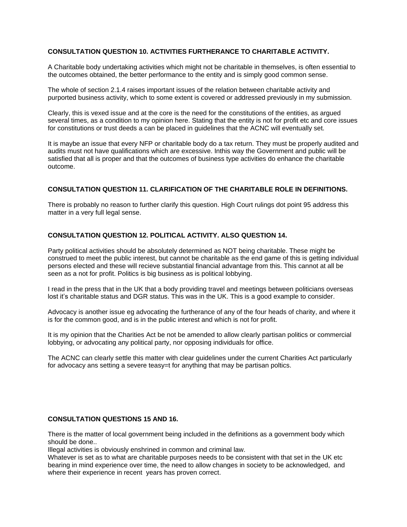# **CONSULTATION QUESTION 10. ACTIVITIES FURTHERANCE TO CHARITABLE ACTIVITY.**

A Charitable body undertaking activities which might not be charitable in themselves, is often essential to the outcomes obtained, the better performance to the entity and is simply good common sense.

The whole of section 2.1.4 raises important issues of the relation between charitable activity and purported business activity, which to some extent is covered or addressed previously in my submission.

Clearly, this is vexed issue and at the core is the need for the constitutions of the entities, as argued several times, as a condition to my opinion here. Stating that the entity is not for profit etc and core issues for constitutions or trust deeds a can be placed in guidelines that the ACNC will eventually set.

It is maybe an issue that every NFP or charitable body do a tax return. They must be properly audited and audits must not have qualifications which are excessive. Inthis way the Government and public will be satisfied that all is proper and that the outcomes of business type activities do enhance the charitable outcome.

## **CONSULTATION QUESTION 11. CLARIFICATION OF THE CHARITABLE ROLE IN DEFINITIONS.**

There is probably no reason to further clarify this question. High Court rulings dot point 95 address this matter in a very full legal sense.

### **CONSULTATION QUESTION 12. POLITICAL ACTIVITY. ALSO QUESTION 14.**

Party political activities should be absolutely determined as NOT being charitable. These might be construed to meet the public interest, but cannot be charitable as the end game of this is getting individual persons elected and these will recieve substantial financial advantage from this. This cannot at all be seen as a not for profit. Politics is big business as is political lobbying.

I read in the press that in the UK that a body providing travel and meetings between politicians overseas lost it's charitable status and DGR status. This was in the UK. This is a good example to consider.

Advocacy is another issue eg advocating the furtherance of any of the four heads of charity, and where it is for the common good, and is in the public interest and which is not for profit.

It is my opinion that the Charities Act be not be amended to allow clearly partisan politics or commercial lobbying, or advocating any political party, nor opposing individuals for office.

The ACNC can clearly settle this matter with clear guidelines under the current Charities Act particularly for advocacy ans setting a severe teasy=t for anything that may be partisan poltics.

## **CONSULTATION QUESTIONS 15 AND 16.**

There is the matter of local government being included in the definitions as a government body which should be done..

Illegal activities is obviously enshrined in common and criminal law.

Whatever is set as to what are charitable purposes needs to be consistent with that set in the UK etc bearing in mind experience over time, the need to allow changes in society to be acknowledged, and where their experience in recent years has proven correct.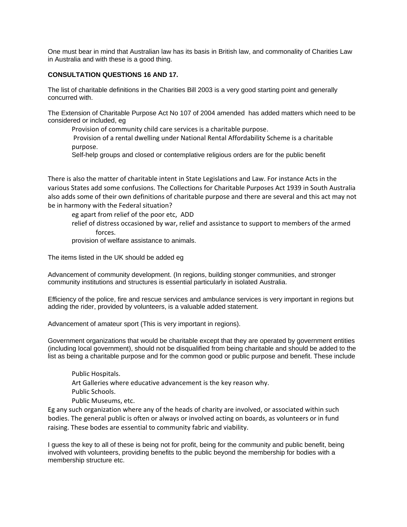One must bear in mind that Australian law has its basis in British law, and commonality of Charities Law in Australia and with these is a good thing.

# **CONSULTATION QUESTIONS 16 AND 17.**

The list of charitable definitions in the Charities Bill 2003 is a very good starting point and generally concurred with.

The Extension of Charitable Purpose Act No 107 of 2004 amended has added matters which need to be considered or included, eg

Provision of community child care services is a charitable purpose.

Provision of a rental dwelling under National Rental Affordability Scheme is a charitable purpose.

Self-help groups and closed or contemplative religious orders are for the public benefit

There is also the matter of charitable intent in State Legislations and Law. For instance Acts in the various States add some confusions. The Collections for Charitable Purposes Act 1939 in South Australia also adds some of their own definitions of charitable purpose and there are several and this act may not be in harmony with the Federal situation?

eg apart from relief of the poor etc, ADD relief of distress occasioned by war, relief and assistance to support to members of the armed forces.

provision of welfare assistance to animals.

The items listed in the UK should be added eg

Advancement of community development. (In regions, building stonger communities, and stronger community institutions and structures is essential particularly in isolated Australia.

Efficiency of the police, fire and rescue services and ambulance services is very important in regions but adding the rider, provided by volunteers, is a valuable added statement.

Advancement of amateur sport (This is very important in regions).

Government organizations that would be charitable except that they are operated by government entities (including local government), should not be disqualified from being charitable and should be added to the list as being a charitable purpose and for the common good or public purpose and benefit. These include

Public Hospitals. Art Galleries where educative advancement is the key reason why. Public Schools. Public Museums, etc.

Eg any such organization where any of the heads of charity are involved, or associated within such bodies. The general public is often or always or involved acting on boards, as volunteers or in fund raising. These bodes are essential to community fabric and viability.

I guess the key to all of these is being not for profit, being for the community and public benefit, being involved with volunteers, providing benefits to the public beyond the membership for bodies with a membership structure etc.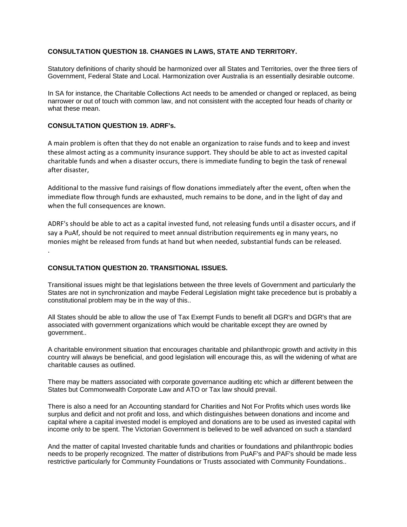# **CONSULTATION QUESTION 18. CHANGES IN LAWS, STATE AND TERRITORY.**

Statutory definitions of charity should be harmonized over all States and Territories, over the three tiers of Government, Federal State and Local. Harmonization over Australia is an essentially desirable outcome.

In SA for instance, the Charitable Collections Act needs to be amended or changed or replaced, as being narrower or out of touch with common law, and not consistent with the accepted four heads of charity or what these mean.

## **CONSULTATION QUESTION 19. ADRF's.**

A main problem is often that they do not enable an organization to raise funds and to keep and invest these almost acting as a community insurance support. They should be able to act as invested capital charitable funds and when a disaster occurs, there is immediate funding to begin the task of renewal after disaster,

Additional to the massive fund raisings of flow donations immediately after the event, often when the immediate flow through funds are exhausted, much remains to be done, and in the light of day and when the full consequences are known.

ADRF's should be able to act as a capital invested fund, not releasing funds until a disaster occurs, and if say a PuAf, should be not required to meet annual distribution requirements eg in many years, no monies might be released from funds at hand but when needed, substantial funds can be released. .

### **CONSULTATION QUESTION 20. TRANSITIONAL ISSUES.**

Transitional issues might be that legislations between the three levels of Government and particularly the States are not in synchronization and maybe Federal Legislation might take precedence but is probably a constitutional problem may be in the way of this..

All States should be able to allow the use of Tax Exempt Funds to benefit all DGR's and DGR's that are associated with government organizations which would be charitable except they are owned by government..

A charitable environment situation that encourages charitable and philanthropic growth and activity in this country will always be beneficial, and good legislation will encourage this, as will the widening of what are charitable causes as outlined.

There may be matters associated with corporate governance auditing etc which ar different between the States but Commonwealth Corporate Law and ATO or Tax law should prevail.

There is also a need for an Accounting standard for Charities and Not For Profits which uses words like surplus and deficit and not profit and loss, and which distinguishes between donations and income and capital where a capital invested model is employed and donations are to be used as invested capital with income only to be spent. The Victorian Government is believed to be well advanced on such a standard

And the matter of capital Invested charitable funds and charities or foundations and philanthropic bodies needs to be properly recognized. The matter of distributions from PuAF's and PAF's should be made less restrictive particularly for Community Foundations or Trusts associated with Community Foundations..